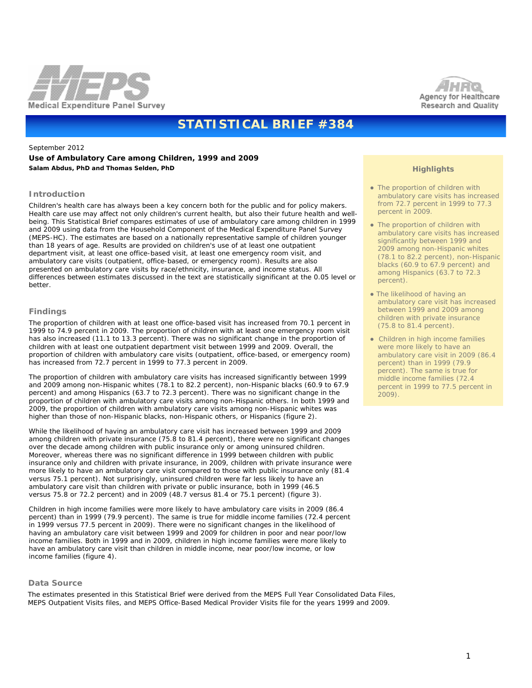



# **STATISTICAL BRIEF #384**

September 2012

**Use of Ambulatory Care among Children, 1999 and 2009** *Salam Abdus, PhD and Thomas Selden, PhD* 

#### **Introduction**

Children's health care has always been a key concern both for the public and for policy makers. Health care use may affect not only children's current health, but also their future health and wellbeing. This Statistical Brief compares estimates of use of ambulatory care among children in 1999 and 2009 using data from the Household Component of the Medical Expenditure Panel Survey (MEPS-HC). The estimates are based on a nationally representative sample of children younger than 18 years of age. Results are provided on children's use of at least one outpatient department visit, at least one office-based visit, at least one emergency room visit, and ambulatory care visits (outpatient, office-based, or emergency room). Results are also presented on ambulatory care visits by race/ethnicity, insurance, and income status. All differences between estimates discussed in the text are statistically significant at the 0.05 level or better.

#### **Findings**

The proportion of children with at least one office-based visit has increased from 70.1 percent in 1999 to 74.9 percent in 2009. The proportion of children with at least one emergency room visit has also increased (11.1 to 13.3 percent). There was no significant change in the proportion of children with at least one outpatient department visit between 1999 and 2009. Overall, the proportion of children with ambulatory care visits (outpatient, office-based, or emergency room) has increased from 72.7 percent in 1999 to 77.3 percent in 2009.

The proportion of children with ambulatory care visits has increased significantly between 1999 and 2009 among non-Hispanic whites (78.1 to 82.2 percent), non-Hispanic blacks (60.9 to 67.9 percent) and among Hispanics (63.7 to 72.3 percent). There was no significant change in the proportion of children with ambulatory care visits among non-Hispanic others. In both 1999 and 2009, the proportion of children with ambulatory care visits among non-Hispanic whites was higher than those of non-Hispanic blacks, non-Hispanic others, or Hispanics (figure 2).

While the likelihood of having an ambulatory care visit has increased between 1999 and 2009 among children with private insurance (75.8 to 81.4 percent), there were no significant changes over the decade among children with public insurance only or among uninsured children. Moreover, whereas there was no significant difference in 1999 between children with public insurance only and children with private insurance, in 2009, children with private insurance were more likely to have an ambulatory care visit compared to those with public insurance only (81.4 versus 75.1 percent). Not surprisingly, uninsured children were far less likely to have an ambulatory care visit than children with private or public insurance, both in 1999 (46.5 versus 75.8 or 72.2 percent) and in 2009 (48.7 versus 81.4 or 75.1 percent) (figure 3).

Children in high income families were more likely to have ambulatory care visits in 2009 (86.4 percent) than in 1999 (79.9 percent). The same is true for middle income families (72.4 percent in 1999 versus 77.5 percent in 2009). There were no significant changes in the likelihood of having an ambulatory care visit between 1999 and 2009 for children in poor and near poor/low income families. Both in 1999 and in 2009, children in high income families were more likely to have an ambulatory care visit than children in middle income, near poor/low income, or low income families (figure 4).

#### **Data Source**

 The estimates presented in this Statistical Brief were derived from the MEPS Full Year Consolidated Data Files, MEPS Outpatient Visits files, and MEPS Office-Based Medical Provider Visits file for the years 1999 and 2009.

### **Highlights**

- The proportion of children with ambulatory care visits has increased from 72.7 percent in 1999 to 77.3 percent in 2009.
- The proportion of children with ambulatory care visits has increased significantly between 1999 and 2009 among non-Hispanic whites (78.1 to 82.2 percent), non-Hispanic blacks (60.9 to 67.9 percent) and among Hispanics (63.7 to 72.3 percent).
- The likelihood of having an ambulatory care visit has increased between 1999 and 2009 among children with private insurance (75.8 to 81.4 percent).
- Children in high income families were more likely to have an ambulatory care visit in 2009 (86.4 percent) than in 1999 (79.9 percent). The same is true for middle income families (72.4 percent in 1999 to 77.5 percent in 2009).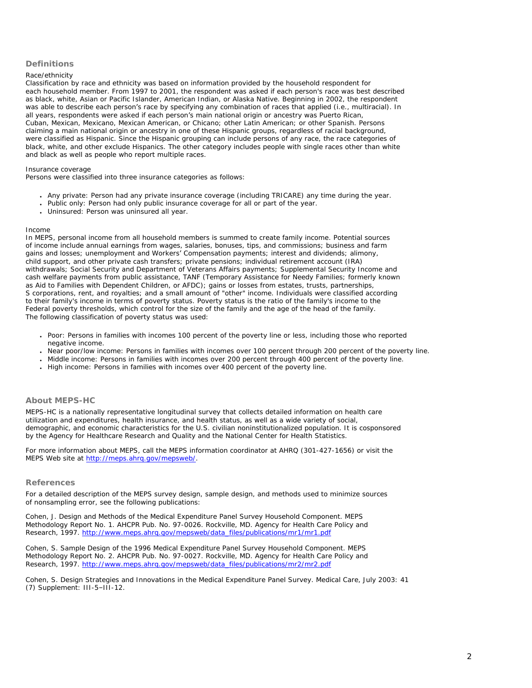# **Definitions**

#### *Race/ethnicity*

Classification by race and ethnicity was based on information provided by the household respondent for each household member. From 1997 to 2001, the respondent was asked if each person's race was best described as black, white, Asian or Pacific Islander, American Indian, or Alaska Native. Beginning in 2002, the respondent was able to describe each person's race by specifying any combination of races that applied (i.e., multiracial). In all years, respondents were asked if each person's main national origin or ancestry was Puerto Rican, Cuban, Mexican, Mexicano, Mexican American, or Chicano; other Latin American; or other Spanish. Persons claiming a main national origin or ancestry in one of these Hispanic groups, regardless of racial background, were classified as Hispanic. Since the Hispanic grouping can include persons of any race, the race categories of black, white, and other exclude Hispanics. The other category includes people with single races other than white and black as well as people who report multiple races.

#### *Insurance coverage*

Persons were classified into three insurance categories as follows:

- *Any private*: Person had any private insurance coverage (including TRICARE) any time during the year.
- *Public only*: Person had only public insurance coverage for all or part of the year.
- *Uninsured*: Person was uninsured all year.

#### *Income*

In MEPS, personal income from all household members is summed to create family income. Potential sources of income include annual earnings from wages, salaries, bonuses, tips, and commissions; business and farm gains and losses; unemployment and Workers' Compensation payments; interest and dividends; alimony, child support, and other private cash transfers; private pensions; individual retirement account (IRA) withdrawals; Social Security and Department of Veterans Affairs payments; Supplemental Security Income and cash welfare payments from public assistance, TANF (Temporary Assistance for Needy Families; formerly known as Aid to Families with Dependent Children, or AFDC); gains or losses from estates, trusts, partnerships, S corporations, rent, and royalties; and a small amount of "other" income. Individuals were classified according to their family's income in terms of poverty status. Poverty status is the ratio of the family's income to the Federal poverty thresholds, which control for the size of the family and the age of the head of the family. The following classification of poverty status was used:

- *Poor:* Persons in families with incomes 100 percent of the poverty line or less, including those who reported negative income.
- *Near poor/low income*: Persons in families with incomes over 100 percent through 200 percent of the poverty line.
- *Middle income*: Persons in families with incomes over 200 percent through 400 percent of the poverty line.
- *High income*: Persons in families with incomes over 400 percent of the poverty line.

## **About MEPS-HC**

MEPS-HC is a nationally representative longitudinal survey that collects detailed information on health care utilization and expenditures, health insurance, and health status, as well as a wide variety of social, demographic, and economic characteristics for the U.S. civilian noninstitutionalized population. It is cosponsored by the Agency for Healthcare Research and Quality and the National Center for Health Statistics.

For more information about MEPS, call the MEPS information coordinator at AHRQ (301-427-1656) or visit the MEPS Web site at<http://meps.ahrq.gov/mepsweb/>.

## **References**

For a detailed description of the MEPS survey design, sample design, and methods used to minimize sources of nonsampling error, see the following publications:

Cohen, J. *Design and Methods of the Medical Expenditure Panel Survey Household Component*. MEPS Methodology Report No. 1. AHCPR Pub. No. 97-0026. Rockville, MD. Agency for Health Care Policy and Research, 1997. [http://www.meps.ahrq.gov/mepsweb/data\\_files/publications/mr1/mr1.pdf](http://www.meps.ahrq.gov/mepsweb/data_files/publications/mr1/mr1.pdf)

Cohen, S. *Sample Design of the 1996 Medical Expenditure Panel Survey Household Component*. MEPS Methodology Report No. 2. AHCPR Pub. No. 97-0027. Rockville, MD. Agency for Health Care Policy and Research, 1997. [http://www.meps.ahrq.gov/mepsweb/data\\_files/publications/mr2/mr2.pdf](http://www.meps.ahrq.gov/mepsweb/data_files/publications/mr2/mr2.pdf)

Cohen, S. Design Strategies and Innovations in the Medical Expenditure Panel Survey. *Medical Care*, July 2003: 41 (7) Supplement: III-5–III-12.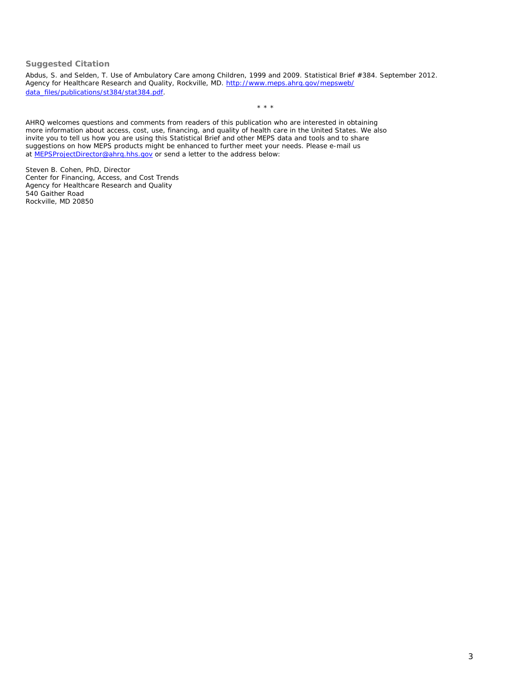## **Suggested Citation**

Abdus, S. and Selden, T. *Use of Ambulatory Care among Children, 1999 and 2009*. Statistical Brief #384. September 2012. Agency for Healthcare Research and Quality, Rockville, MD. [http://www.meps.ahrq.gov/mepsweb/](http://www.meps.ahrq.gov/mepsweb/data_files/publications/st384/stat384.pdf) [data\\_files/publications/st384/stat384.pdf.](http://www.meps.ahrq.gov/mepsweb/data_files/publications/st384/stat384.pdf)

\* \* \*

AHRQ welcomes questions and comments from readers of this publication who are interested in obtaining more information about access, cost, use, financing, and quality of health care in the United States. We also invite you to tell us how you are using this Statistical Brief and other MEPS data and tools and to share suggestions on how MEPS products might be enhanced to further meet your needs. Please e-mail us at [MEPSProjectDirector@ahrq.hhs.gov](mailto:MEPSProjectDirector@ahrq.hhs.gov) or send a letter to the address below:

Steven B. Cohen, PhD, Director Center for Financing, Access, and Cost Trends Agency for Healthcare Research and Quality 540 Gaither Road Rockville, MD 20850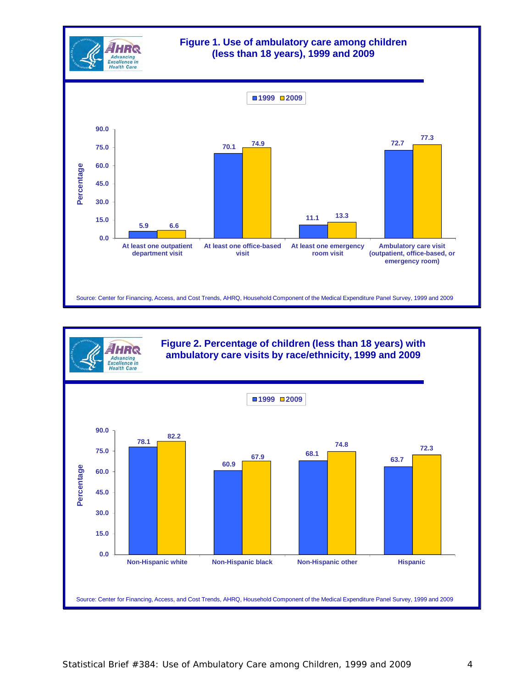